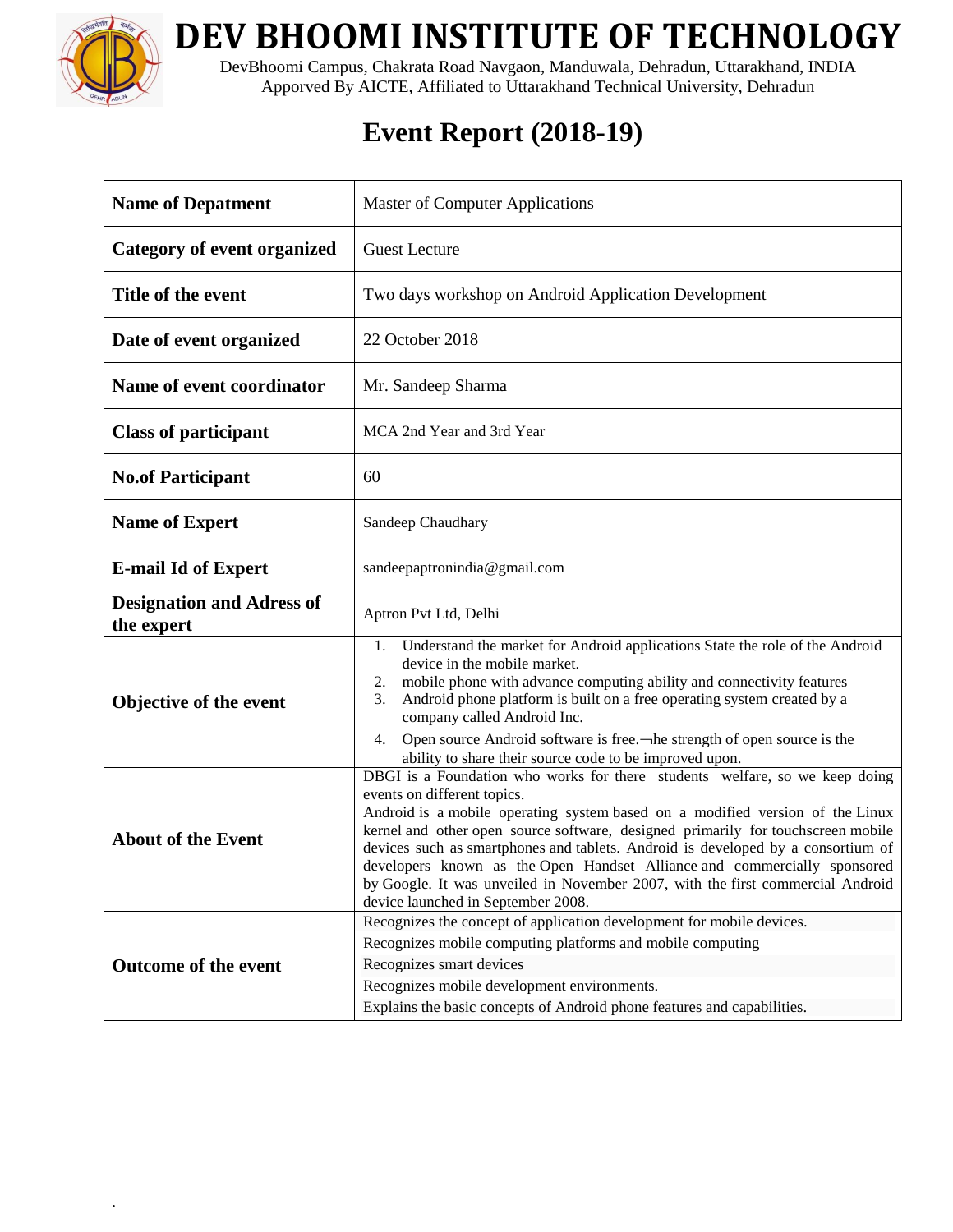

.

**DEV BHOOMI INSTITUTE OF TECHNOLOGY**

DevBhoomi Campus, Chakrata Road Navgaon, Manduwala, Dehradun, Uttarakhand, INDIA Apporved By AICTE, Affiliated to Uttarakhand Technical University, Dehradun

## **Event Report (2018-19)**

| <b>Name of Depatment</b>                       | <b>Master of Computer Applications</b>                                                                                                                                                                                                                                                                                                                                                                                                                                                                                                                                                                                             |
|------------------------------------------------|------------------------------------------------------------------------------------------------------------------------------------------------------------------------------------------------------------------------------------------------------------------------------------------------------------------------------------------------------------------------------------------------------------------------------------------------------------------------------------------------------------------------------------------------------------------------------------------------------------------------------------|
| <b>Category of event organized</b>             | <b>Guest Lecture</b>                                                                                                                                                                                                                                                                                                                                                                                                                                                                                                                                                                                                               |
| Title of the event                             | Two days workshop on Android Application Development                                                                                                                                                                                                                                                                                                                                                                                                                                                                                                                                                                               |
| Date of event organized                        | 22 October 2018                                                                                                                                                                                                                                                                                                                                                                                                                                                                                                                                                                                                                    |
| Name of event coordinator                      | Mr. Sandeep Sharma                                                                                                                                                                                                                                                                                                                                                                                                                                                                                                                                                                                                                 |
| <b>Class of participant</b>                    | MCA 2nd Year and 3rd Year                                                                                                                                                                                                                                                                                                                                                                                                                                                                                                                                                                                                          |
| <b>No.of Participant</b>                       | 60                                                                                                                                                                                                                                                                                                                                                                                                                                                                                                                                                                                                                                 |
| <b>Name of Expert</b>                          | Sandeep Chaudhary                                                                                                                                                                                                                                                                                                                                                                                                                                                                                                                                                                                                                  |
| <b>E-mail Id of Expert</b>                     | sandeepaptronindia@gmail.com                                                                                                                                                                                                                                                                                                                                                                                                                                                                                                                                                                                                       |
| <b>Designation and Adress of</b><br>the expert | Aptron Pvt Ltd, Delhi                                                                                                                                                                                                                                                                                                                                                                                                                                                                                                                                                                                                              |
| Objective of the event                         | Understand the market for Android applications State the role of the Android<br>1.<br>device in the mobile market.<br>mobile phone with advance computing ability and connectivity features<br>2.<br>Android phone platform is built on a free operating system created by a<br>3.<br>company called Android Inc.<br>Open source Android software is free.—he strength of open source is the<br>4.                                                                                                                                                                                                                                 |
| <b>About of the Event</b>                      | ability to share their source code to be improved upon.<br>DBGI is a Foundation who works for there students welfare, so we keep doing<br>events on different topics.<br>Android is a mobile operating system based on a modified version of the Linux<br>kernel and other open source software, designed primarily for touchscreen mobile<br>devices such as smartphones and tablets. Android is developed by a consortium of<br>developers known as the Open Handset Alliance and commercially sponsored<br>by Google. It was unveiled in November 2007, with the first commercial Android<br>device launched in September 2008. |
| <b>Outcome of the event</b>                    | Recognizes the concept of application development for mobile devices.<br>Recognizes mobile computing platforms and mobile computing<br>Recognizes smart devices<br>Recognizes mobile development environments.<br>Explains the basic concepts of Android phone features and capabilities.                                                                                                                                                                                                                                                                                                                                          |